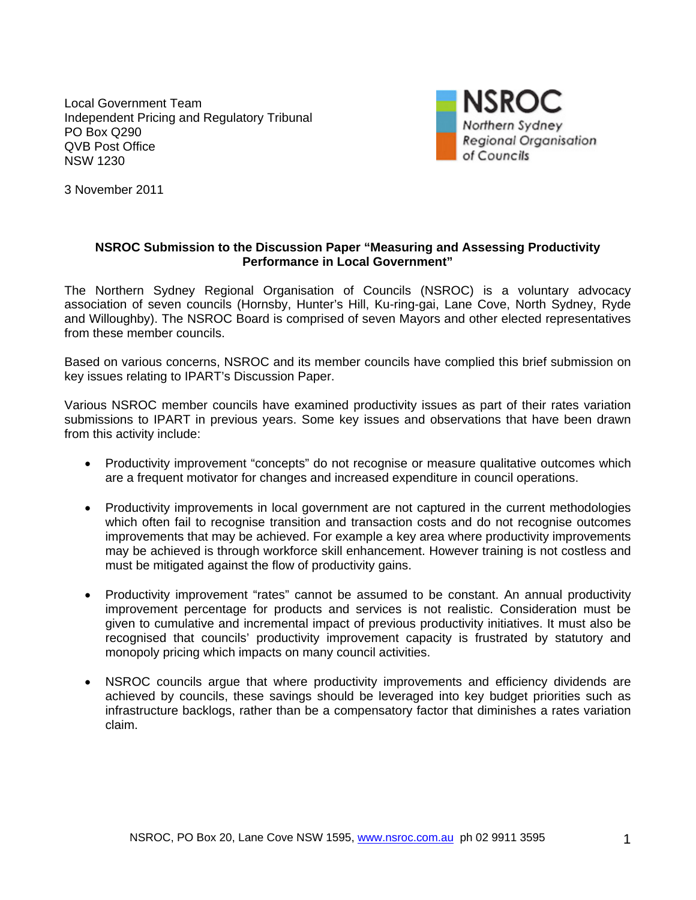Local Government Team Independent Pricing and Regulatory Tribunal PO Box Q290 QVB Post Office NSW 1230



3 November 2011

#### **NSROC Submission to the Discussion Paper "Measuring and Assessing Productivity Performance in Local Government"**

The Northern Sydney Regional Organisation of Councils (NSROC) is a voluntary advocacy association of seven councils (Hornsby, Hunter's Hill, Ku-ring-gai, Lane Cove, North Sydney, Ryde and Willoughby). The NSROC Board is comprised of seven Mayors and other elected representatives from these member councils.

Based on various concerns, NSROC and its member councils have complied this brief submission on key issues relating to IPART's Discussion Paper.

Various NSROC member councils have examined productivity issues as part of their rates variation submissions to IPART in previous years. Some key issues and observations that have been drawn from this activity include:

- Productivity improvement "concepts" do not recognise or measure qualitative outcomes which are a frequent motivator for changes and increased expenditure in council operations.
- Productivity improvements in local government are not captured in the current methodologies which often fail to recognise transition and transaction costs and do not recognise outcomes improvements that may be achieved. For example a key area where productivity improvements may be achieved is through workforce skill enhancement. However training is not costless and must be mitigated against the flow of productivity gains.
- Productivity improvement "rates" cannot be assumed to be constant. An annual productivity improvement percentage for products and services is not realistic. Consideration must be given to cumulative and incremental impact of previous productivity initiatives. It must also be recognised that councils' productivity improvement capacity is frustrated by statutory and monopoly pricing which impacts on many council activities.
- NSROC councils argue that where productivity improvements and efficiency dividends are achieved by councils, these savings should be leveraged into key budget priorities such as infrastructure backlogs, rather than be a compensatory factor that diminishes a rates variation claim.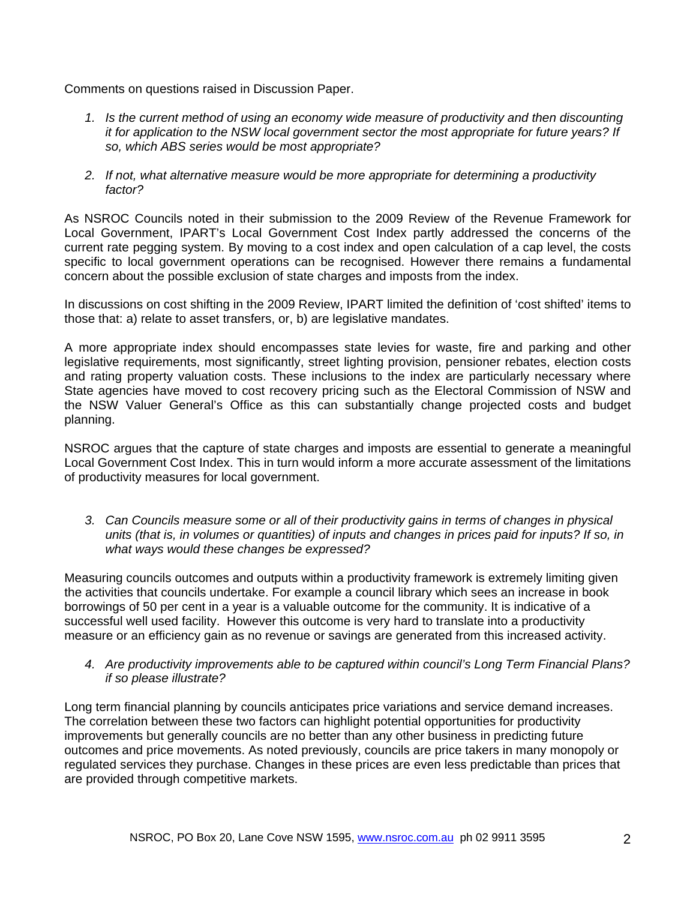Comments on questions raised in Discussion Paper.

- *1. Is the current method of using an economy wide measure of productivity and then discounting it for application to the NSW local government sector the most appropriate for future years? If so, which ABS series would be most appropriate?*
- *2. If not, what alternative measure would be more appropriate for determining a productivity factor?*

As NSROC Councils noted in their submission to the 2009 Review of the Revenue Framework for Local Government, IPART's Local Government Cost Index partly addressed the concerns of the current rate pegging system. By moving to a cost index and open calculation of a cap level, the costs specific to local government operations can be recognised. However there remains a fundamental concern about the possible exclusion of state charges and imposts from the index.

In discussions on cost shifting in the 2009 Review, IPART limited the definition of 'cost shifted' items to those that: a) relate to asset transfers, or, b) are legislative mandates.

A more appropriate index should encompasses state levies for waste, fire and parking and other legislative requirements, most significantly, street lighting provision, pensioner rebates, election costs and rating property valuation costs. These inclusions to the index are particularly necessary where State agencies have moved to cost recovery pricing such as the Electoral Commission of NSW and the NSW Valuer General's Office as this can substantially change projected costs and budget planning.

NSROC argues that the capture of state charges and imposts are essential to generate a meaningful Local Government Cost Index. This in turn would inform a more accurate assessment of the limitations of productivity measures for local government.

*3. Can Councils measure some or all of their productivity gains in terms of changes in physical units (that is, in volumes or quantities) of inputs and changes in prices paid for inputs? If so, in what ways would these changes be expressed?* 

Measuring councils outcomes and outputs within a productivity framework is extremely limiting given the activities that councils undertake. For example a council library which sees an increase in book borrowings of 50 per cent in a year is a valuable outcome for the community. It is indicative of a successful well used facility. However this outcome is very hard to translate into a productivity measure or an efficiency gain as no revenue or savings are generated from this increased activity.

*4. Are productivity improvements able to be captured within council's Long Term Financial Plans? if so please illustrate?* 

Long term financial planning by councils anticipates price variations and service demand increases. The correlation between these two factors can highlight potential opportunities for productivity improvements but generally councils are no better than any other business in predicting future outcomes and price movements. As noted previously, councils are price takers in many monopoly or regulated services they purchase. Changes in these prices are even less predictable than prices that are provided through competitive markets.